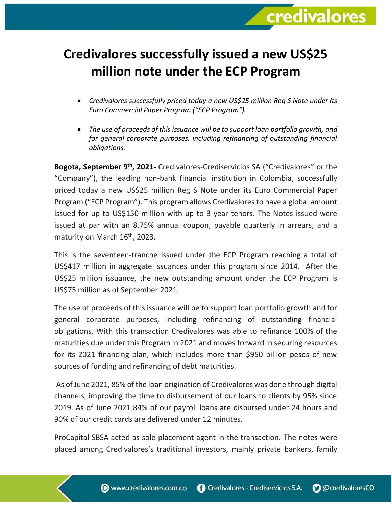## **Credivalores successfully issued a new US\$25 million note under the ECP Program**

 *Credivalores successfully priced today a new US\$25 million Reg S Note under its Euro Commercial Paper Program ("ECP Program").*

credivalores

 *The use of proceeds of this issuance will be to support loan portfolio growth, and for general corporate purposes, including refinancing of outstanding financial obligations.* 

**Bogota, September 9th , 2021-** Credivalores-Crediservicios SA ("Credivalores" or the "Company"), the leading non-bank financial institution in Colombia, successfully priced today a new US\$25 million Reg S Note under its Euro Commercial Paper Program ("ECP Program"). This program allows Credivalores to have a global amount issued for up to US\$150 million with up to 3-year tenors. The Notes issued were issued at par with an 8.75% annual coupon, payable quarterly in arrears, and a maturity on March 16<sup>th</sup>, 2023.

This is the seventeen-tranche issued under the ECP Program reaching a total of US\$417 million in aggregate issuances under this program since 2014. After the US\$25 million issuance, the new outstanding amount under the ECP Program is US\$75 million as of September 2021.

The use of proceeds of this issuance will be to support loan portfolio growth and for general corporate purposes, including refinancing of outstanding financial obligations. With this transaction Credivalores was able to refinance 100% of the maturities due under this Program in 2021 and moves forward in securing resources for its 2021 financing plan, which includes more than \$950 billion pesos of new sources of funding and refinancing of debt maturities.

As of June 2021, 85% of the loan origination of Credivalores was done through digital channels, improving the time to disbursement of our loans to clients by 95% since 2019. As of June 2021 84% of our payroll loans are disbursed under 24 hours and 90% of our credit cards are delivered under 12 minutes.

ProCapital SBSA acted as sole placement agent in the transaction. The notes were placed among Credivalores's traditional investors, mainly private bankers, family